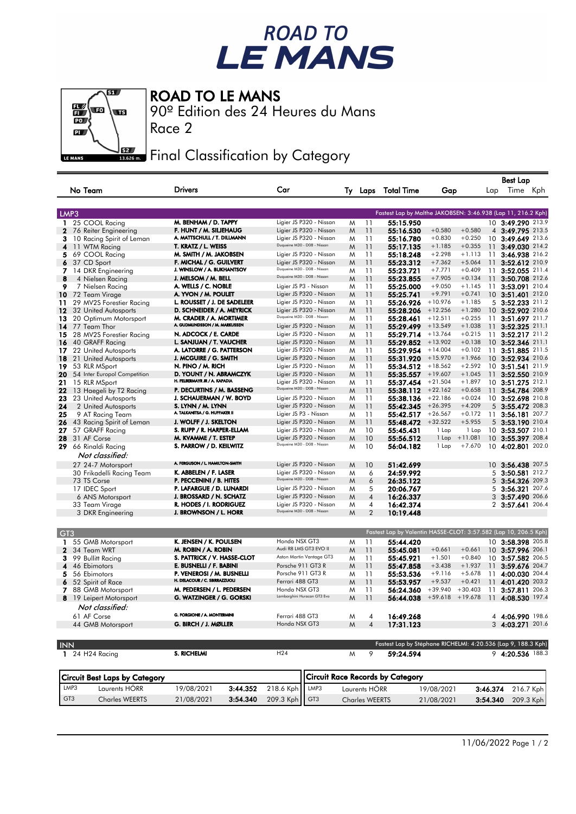## ROAD TO<br>LE MANS

 $\overline{\mathbf{g}}$  $\frac{1}{10}$  $\overline{\mathbf{u}}$  $\overline{\mathbf{p}}$ LE MANS

ROAD TO LE MANS

Race 2

90º Edition des 24 Heures du Mans

**Final Classification by Category** 

|                                       |                                                          |                                                        |                 |                                                          |                       |                                                                  |            |           |          | Best Lap          |       |  |
|---------------------------------------|----------------------------------------------------------|--------------------------------------------------------|-----------------|----------------------------------------------------------|-----------------------|------------------------------------------------------------------|------------|-----------|----------|-------------------|-------|--|
| No Team                               | <b>Drivers</b>                                           | Car                                                    |                 |                                                          |                       | Ty Laps Total Time                                               | Gap        |           | Lap      | Time Kph          |       |  |
| LMP3                                  |                                                          |                                                        |                 |                                                          |                       | Fastest Lap by Malthe JAKOBSEN: 3:46.938 (Lap 11, 216.2 Kph)     |            |           |          |                   |       |  |
| 1 25 COOL Racing                      | M. BENHAM / D. TAPPY                                     | Ligier JS P320 - Nissan                                |                 | M                                                        | 11                    | 55:15.950                                                        |            |           |          | 10 3:49.290 213.9 |       |  |
| $\mathbf{2}$<br>76 Reiter Engineering | F. HUNT / M. SILJEHAUG                                   | Ligier JS P320 - Nissan                                |                 | M                                                        | 11                    | 55:16.530                                                        | $+0.580$   | $+0.580$  |          | 4 3:49.795 213.5  |       |  |
| 3<br>10 Racing Spirit of Leman        | A. MATTSCHULL / T. DILLMANN                              | Ligier JS P320 - Nissan                                |                 | M                                                        | 11                    | 55:16.780                                                        | $+0.830$   | $+0.250$  |          | 10 3:49.649 213.6 |       |  |
| 4<br>11 WTM Racing                    | T. KRATZ / L. WEISS                                      | Duqueine M30 - D08 - Nissan                            |                 | M                                                        | 11                    | 55:17.135                                                        | $+1.185$   | $+0.355$  | 11       | 3:49.030 214.2    |       |  |
| 69 COOL Racing<br>5.                  | M. SMITH / M. JAKOBSEN                                   | Ligier JS P320 - Nissan                                |                 | M                                                        | 11                    | 55:18.248                                                        | $+2.298$   | $+1.113$  |          | 11 3:46.938 216.2 |       |  |
| 6<br>37 CD Sport                      | F. MICHAL / G. GUILVERT                                  | Ligier JS P320 - Nissan                                |                 | M                                                        | 11                    | 55:23.312                                                        | $+7.362$   | $+5.064$  |          | 11 3:52.612 210.9 |       |  |
| 7<br>14 DKR Engineering               | J. WINSLOW / A. BUKHANTSOV                               | Duqueine M30 - D08 - Nissan                            |                 | M                                                        | 11                    | 55:23.721                                                        | $+7.771$   | $+0.409$  | 11       | 3:52.055 211.4    |       |  |
| 8<br>4 Nielsen Racing                 | J. MELSOM / M. BELL                                      | Duqueine M30 - D08 - Nissan                            |                 | M                                                        | 11                    | 55:23.855                                                        | $+7.905$   | $+0.134$  |          | 11 3:50.708 212.6 |       |  |
| 9                                     | A. WELLS / C. NOBLE                                      | Ligier JS P3 - Nissan                                  |                 | M                                                        | 11                    | 55:25.000                                                        | $+9.050$   | $+1.145$  | 11       | 3:53.091 210.4    |       |  |
| 7 Nielsen Racing                      | A. YVON / M. POULET                                      | Ligier JS P320 - Nissan                                |                 |                                                          | 11                    |                                                                  | $+9.791$   | $+0.741$  |          | 10 3:51.401 212.0 |       |  |
| 10<br>72 Team Virage                  | L. ROUSSET / J. DE SADELEER                              | Ligier JS P320 - Nissan                                |                 | M                                                        |                       | 55:25.741                                                        | $+10.976$  | $+1.185$  |          |                   |       |  |
| 29 MV2S Forestier Racing<br>11        |                                                          | Ligier JS P320 - Nissan                                |                 | M                                                        | 11                    | 55:26.926                                                        |            | $+1.280$  |          | 5 3:52.233 211.2  |       |  |
| 12<br>32 United Autosports            | D. SCHNEIDER / A. MEYRICK                                | Duqueine M30 - D08 - Nissan                            |                 | M                                                        | 11                    | 55:28.206                                                        | $+12.256$  |           |          | 10 3:52.902 210.6 |       |  |
| 13<br>20 Optimum Motorsport           | M. CRADER / A. MORTIMER<br>A. GUDMUNDSSON / M. MARKUSSEN |                                                        |                 | M                                                        | 11                    | 55:28.461                                                        | $+12.511$  | $+0.255$  |          | 11 3:51.697 211.7 |       |  |
| 14<br>77 Team Thor                    |                                                          | Ligier JS P320 - Nissan                                |                 | M                                                        | 11                    | 55:29.499                                                        | $+13.549$  | $+1.038$  | 11       | 3:52.325 211.1    |       |  |
| 15<br>28 MV2S Forestier Racing        | N. ADCOCK / E. CARDE                                     | Ligier JS P320 - Nissan                                |                 | M                                                        | 11                    | 55:29.714                                                        | $+13.764$  | $+0.215$  | 11       | 3:52.217 211.2    |       |  |
| 40 GRAFF Racing<br>16                 | L. SANJUAN / T. VAUCHER                                  | Ligier JS P320 - Nissan                                |                 | M                                                        | 11                    | 55:29.852                                                        | $+13.902$  | $+0.138$  |          | 10 3:52.346 211.1 |       |  |
| 17<br>22 United Autosports            | A. LATORRE / G. PATTERSON                                | Ligier JS P320 - Nissan                                |                 | M                                                        | 11                    | 55:29.954                                                        | $+14.004$  | $+0.102$  | 11       | 3:51.885 211.5    |       |  |
| 18<br>21 United Autosports            | J. MCGUIRE / G. SMITH                                    | Ligier JS P320 - Nissan                                |                 | M                                                        | 11                    | 55:31.920                                                        | $+15.970$  | $+1.966$  |          | 10 3:52.934 210.6 |       |  |
| 19<br>53 RLR MSport                   | N. PINO / M. RICH                                        | Ligier JS P320 - Nissan                                |                 | M                                                        | 11                    | 55:34.512                                                        | $+18.562$  | $+2.592$  |          | 10 3:51.541 211.9 |       |  |
| 54 Inter Europol Competition<br>20    | D. YOUNT / N. ABRAMCZYK                                  | Ligier JS P320 - Nissan                                |                 | M                                                        | 11                    | 55:35.557                                                        | $+19.607$  | $+1.045$  | 11       | 3:52.550 210.9    |       |  |
| 21<br>15 RLR MSport                   | H. FELBERMAYR JR / A. KAPADIA                            | Ligier JS P320 - Nissan                                |                 | M                                                        | 11                    | 55:37.454                                                        | $+21.504$  | $+1.897$  |          | 10 3:51.275 212.1 |       |  |
| 22<br>13 Haegeli by T2 Racing         | P. DECURTINS / M. BASSENG                                | Duqueine M30 - D08 - Nissan                            |                 | M                                                        | 11                    | 55:38.112                                                        | $+22.162$  | $+0.658$  |          | 11 3:54.784 208.9 |       |  |
| 23<br>23 United Autosports            | J. SCHAUERMAN / W. BOYD                                  | Ligier JS P320 - Nissan                                |                 | M                                                        | 11                    | 55:38.136                                                        | $+22.186$  | $+0.024$  |          | 10 3:52.698 210.8 |       |  |
| 24<br>2 United Autosports             | S. LYNN / M. LYNN                                        | Ligier JS P320 - Nissan                                |                 | M                                                        | 11                    | 55:42.345                                                        | $+26.395$  | $+4.209$  |          | 5 3:55.472 208.3  |       |  |
| 25<br>9 AT Racing Team                | A. TALKANITSA / G. HUFFAKER II                           | Ligier JS P3 - Nissan                                  |                 | M                                                        | 11                    | 55:42.517                                                        | $+26.567$  | $+0.172$  |          | 11 3:56.181       | 207.7 |  |
| 43 Racing Spirit of Leman<br>26       | J. WOLFF / J. SKELTON                                    | Ligier JS P320 - Nissan                                |                 | M                                                        | 11                    | 55:48.472                                                        | $+32.522$  | $+5.955$  |          | 5 3:53.190 210.4  |       |  |
| 27<br>57 GRAFF Racing                 | S. RUPP / R. HARPER-ELLAM                                | Ligier JS P320 - Nissan                                |                 | M                                                        | 10                    | 55:45.431                                                        | 1 Lap      | 1 Lap     |          | 10 3:53.507 210.1 |       |  |
| 28<br>31 AF Corse                     | M. KVAMME / T. ESTEP                                     | Ligier JS P320 - Nissan                                |                 | M                                                        | 10                    | 55:56.512                                                        | 1 Lap      | $+11.081$ |          | 10 3:55.397 208.4 |       |  |
| 29 66 Rinaldi Racing                  | S. PARROW / D. KEILWITZ                                  | Duqueine M30 - D08 - Nissan                            |                 | M                                                        | 10                    | 56:04.182                                                        | 1 Lap      | $+7.670$  |          | 10 4:02.801 202.0 |       |  |
| Not classified:                       |                                                          |                                                        |                 |                                                          |                       |                                                                  |            |           |          |                   |       |  |
|                                       | A. FERGUSON / L. HAMILTON-SMITH                          |                                                        |                 |                                                          |                       |                                                                  |            |           |          |                   |       |  |
| 27 24-7 Motorsport                    |                                                          | Ligier JS P320 - Nissan                                |                 | M                                                        | 10                    | 51:42.699                                                        |            |           |          | 10 3:56.438 207.5 |       |  |
| 30 Frikadelli Racing Team             | K. ABBELEN / F. LASER                                    | Ligier JS P320 - Nissan<br>Duqueine M30 - D08 - Nissan |                 | M                                                        | 6                     | 24:59.992                                                        |            |           | 5        | 3:50.581          | 212.7 |  |
| 73 TS Corse                           | P. PECCENINI / B. HITES                                  |                                                        |                 | M                                                        | 6                     | 26:35.122                                                        |            |           | 5        | 3:54.326 209.3    |       |  |
| 17 IDEC Sport                         | P. LAFARGUE / D. LUNARDI                                 | Ligier JS P320 - Nissan                                |                 | M                                                        | 5                     | 20:06.767                                                        |            |           | 5        | 3:56.321          | 207.6 |  |
| 6 ANS Motorsport                      | J. BROSSARD / N. SCHATZ                                  | Ligier JS P320 - Nissan                                |                 | M                                                        | $\overline{4}$        | 16:26.337                                                        |            |           |          | 3 3:57.490 206.6  |       |  |
| 33 Team Virage                        | R. HODES / I. RODRIGUEZ                                  | Ligier JS P320 - Nissan<br>Duqueine M30 - D08 - Nissan |                 | M                                                        | 4                     | 16:42.374                                                        |            |           |          | 2 3:57.641 206.4  |       |  |
| 3 DKR Engineering                     | J. BROWNSON / L. HORR                                    |                                                        |                 | M                                                        | 2                     | 10:19.448                                                        |            |           |          |                   |       |  |
| GT <sub>3</sub>                       |                                                          |                                                        |                 |                                                          |                       | Fastest Lap by Valentin HASSE-CLOT: 3:57.582 (Lap 10, 206.5 Kph) |            |           |          |                   |       |  |
| 55 GMB Motorsport<br>1                | K. JENSEN / K. POULSEN                                   | Honda NSX GT3                                          |                 | M                                                        | 11                    | 55:44.420                                                        |            |           |          | 10 3:58.398 205.8 |       |  |
| $\mathbf{z}$<br>34 Team WRT           | M. ROBIN / A. ROBIN                                      | Audi R8 LMS GT3 EVO II                                 |                 | M                                                        | 11                    | 55:45.081                                                        | $+0.661$   | $+0.661$  |          | 10 3:57.996 206.1 |       |  |
| з<br>99 Bullitt Racing                | S. PATTRICK / V. HASSE-CLOT                              | Aston Martin Vantage GT3                               |                 | M                                                        | 11                    | 55:45.921                                                        | $+1.501$   | $+0.840$  |          | 10 3:57.582 206.5 |       |  |
| 46 Ebimotors<br>4                     | E. BUSNELLI / F. BABINI                                  | Porsche 911 GT3 R                                      |                 | M                                                        | 11                    | 55:47.858                                                        | $+3.438$   | $+1.937$  | 11       | 3:59.676          | 204.7 |  |
| 56 Ebimotors<br>5                     | P. VENEROSI / M. BUSNELLI                                | Porsche 911 GT3 R                                      |                 | M                                                        | 11                    | 55:53.536                                                        | $+9.116$   | $+5.678$  |          | 11 4:00.030 204.4 |       |  |
| 52 Spirit of Race<br>6                | H. DELACOUR / C. SBIRRAZZUOLI                            | Ferrari 488 GT3                                        |                 | M                                                        | 11                    | 55:53.957                                                        | $+9.537$   | $+0.421$  |          | 11 4:01.420       | 203.2 |  |
| 88 GMB Motorsport<br>7                | M. PEDERSEN / L. PEDERSEN                                | Honda NSX GT3                                          |                 | M                                                        | 11                    | 56:24.360                                                        | $+39.940$  | $+30.403$ | 11       | 3:57.811          | 206.3 |  |
| 8 19 Leipert Motorsport               | G. WATZINGER / G. GORSKI                                 | Lamborghini Huracan GT3 Evo                            |                 | M                                                        | 11                    | 56:44.038                                                        | $+59.618$  | $+19.678$ |          | 11 4:08.530 197.4 |       |  |
| Not classified:                       |                                                          |                                                        |                 |                                                          |                       |                                                                  |            |           |          |                   |       |  |
|                                       | G. FORGIONE / A. MONTERMINI                              |                                                        |                 |                                                          |                       |                                                                  |            |           |          |                   |       |  |
| 61 AF Corse                           |                                                          | Ferrari 488 GT3                                        |                 | M                                                        | 4                     | 16:49.268                                                        |            |           |          | 4 4:06.990 198.6  |       |  |
| 44 GMB Motorsport                     | G. BIRCH / J. MØLLER                                     | Honda NSX GT3                                          |                 | M                                                        | 4                     | 17:31.123                                                        |            |           |          | 3 4:03.271 201.6  |       |  |
| <b>INN</b>                            |                                                          |                                                        |                 |                                                          |                       | Fastest Lap by Stéphane RICHELMI: 4:20.536 (Lap 9, 188.3 Kph)    |            |           |          |                   |       |  |
| 1 24 H24 Racing                       | <b>S. RICHELMI</b>                                       | H <sub>24</sub>                                        |                 | M                                                        | 9                     | 59:24.594                                                        |            |           |          | 9 4:20.536 188.3  |       |  |
| <b>Circuit Best Laps by Category</b>  |                                                          |                                                        |                 |                                                          |                       |                                                                  |            |           |          |                   |       |  |
| Laurents HÖRR<br>LMP3                 | 3:44.352<br>19/08/2021                                   | 218.6 Kph                                              | LMP3            | <b>Circuit Race Records by Category</b><br>Laurents HÖRR |                       |                                                                  | 19/08/2021 |           | 3:46.374 | 216.7 Kph         |       |  |
| GT3<br><b>Charles WEERTS</b>          | 21/08/2021<br>3:54.340                                   | 209.3 Kph                                              | GT <sub>3</sub> |                                                          | <b>Charles WEERTS</b> |                                                                  | 21/08/2021 |           | 3:54.340 | 209.3 Kph         |       |  |
|                                       |                                                          |                                                        |                 |                                                          |                       |                                                                  |            |           |          |                   |       |  |